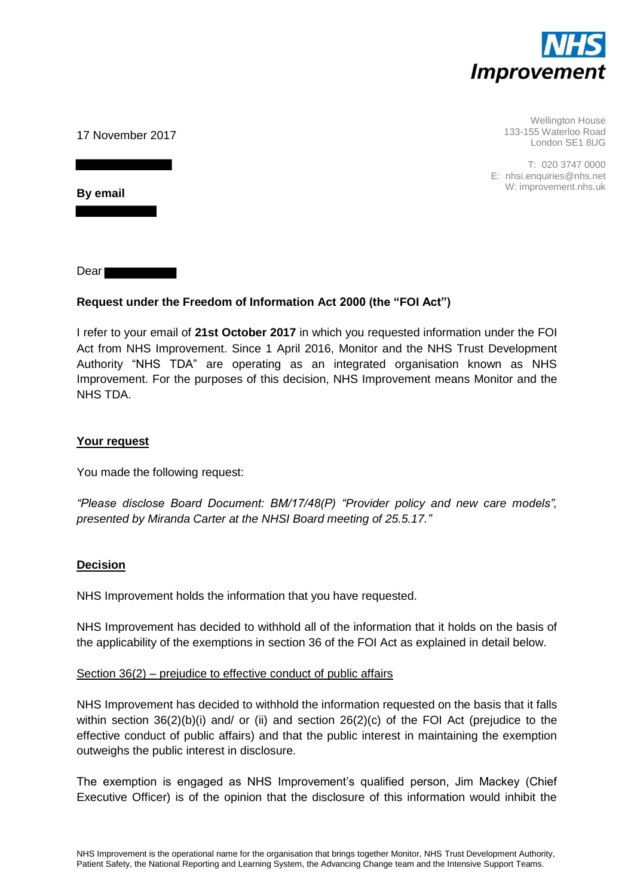

Wellington House 133-155 Waterloo Road London SE1 8UG

T: 020 3747 0000 E: nhsi.enquiries@nhs.net W: improvement.nhs.uk

17 November 2017

**By email** 

Dear **Dear** 

# **Request under the Freedom of Information Act 2000 (the "FOI Act")**

I refer to your email of **21st October 2017** in which you requested information under the FOI Act from NHS Improvement. Since 1 April 2016, Monitor and the NHS Trust Development Authority "NHS TDA" are operating as an integrated organisation known as NHS Improvement. For the purposes of this decision, NHS Improvement means Monitor and the NHS TDA.

## **Your request**

You made the following request:

*"Please disclose Board Document: BM/17/48(P) "Provider policy and new care models", presented by Miranda Carter at the NHSI Board meeting of 25.5.17."*

## **Decision**

NHS Improvement holds the information that you have requested.

NHS Improvement has decided to withhold all of the information that it holds on the basis of the applicability of the exemptions in section 36 of the FOI Act as explained in detail below.

### Section 36(2) – prejudice to effective conduct of public affairs

NHS Improvement has decided to withhold the information requested on the basis that it falls within section  $36(2)(b)(i)$  and/ or (ii) and section  $26(2)(c)$  of the FOI Act (prejudice to the effective conduct of public affairs) and that the public interest in maintaining the exemption outweighs the public interest in disclosure.

The exemption is engaged as NHS Improvement's qualified person, Jim Mackey (Chief Executive Officer) is of the opinion that the disclosure of this information would inhibit the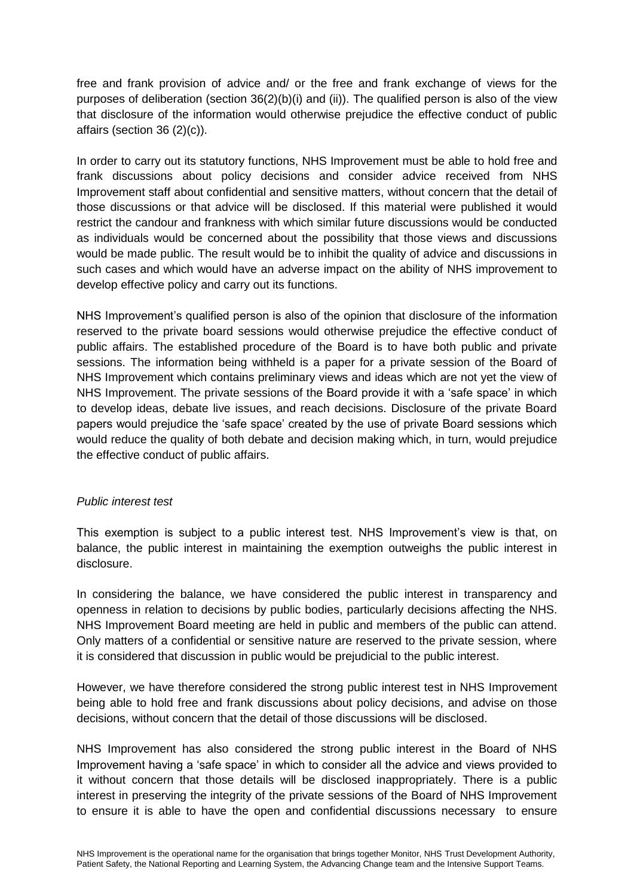free and frank provision of advice and/ or the free and frank exchange of views for the purposes of deliberation (section 36(2)(b)(i) and (ii)). The qualified person is also of the view that disclosure of the information would otherwise prejudice the effective conduct of public affairs (section 36 (2)(c)).

In order to carry out its statutory functions, NHS Improvement must be able to hold free and frank discussions about policy decisions and consider advice received from NHS Improvement staff about confidential and sensitive matters, without concern that the detail of those discussions or that advice will be disclosed. If this material were published it would restrict the candour and frankness with which similar future discussions would be conducted as individuals would be concerned about the possibility that those views and discussions would be made public. The result would be to inhibit the quality of advice and discussions in such cases and which would have an adverse impact on the ability of NHS improvement to develop effective policy and carry out its functions.

NHS Improvement's qualified person is also of the opinion that disclosure of the information reserved to the private board sessions would otherwise prejudice the effective conduct of public affairs. The established procedure of the Board is to have both public and private sessions. The information being withheld is a paper for a private session of the Board of NHS Improvement which contains preliminary views and ideas which are not yet the view of NHS Improvement. The private sessions of the Board provide it with a 'safe space' in which to develop ideas, debate live issues, and reach decisions. Disclosure of the private Board papers would prejudice the 'safe space' created by the use of private Board sessions which would reduce the quality of both debate and decision making which, in turn, would prejudice the effective conduct of public affairs.

## *Public interest test*

This exemption is subject to a public interest test. NHS Improvement's view is that, on balance, the public interest in maintaining the exemption outweighs the public interest in disclosure.

In considering the balance, we have considered the public interest in transparency and openness in relation to decisions by public bodies, particularly decisions affecting the NHS. NHS Improvement Board meeting are held in public and members of the public can attend. Only matters of a confidential or sensitive nature are reserved to the private session, where it is considered that discussion in public would be prejudicial to the public interest.

However, we have therefore considered the strong public interest test in NHS Improvement being able to hold free and frank discussions about policy decisions, and advise on those decisions, without concern that the detail of those discussions will be disclosed.

NHS Improvement has also considered the strong public interest in the Board of NHS Improvement having a 'safe space' in which to consider all the advice and views provided to it without concern that those details will be disclosed inappropriately. There is a public interest in preserving the integrity of the private sessions of the Board of NHS Improvement to ensure it is able to have the open and confidential discussions necessary to ensure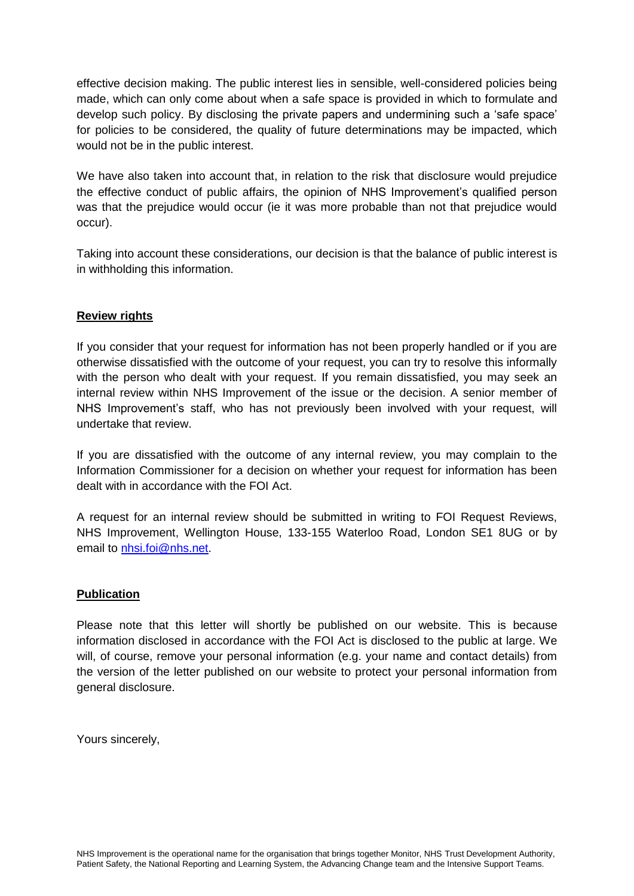effective decision making. The public interest lies in sensible, well-considered policies being made, which can only come about when a safe space is provided in which to formulate and develop such policy. By disclosing the private papers and undermining such a 'safe space' for policies to be considered, the quality of future determinations may be impacted, which would not be in the public interest.

We have also taken into account that, in relation to the risk that disclosure would prejudice the effective conduct of public affairs, the opinion of NHS Improvement's qualified person was that the prejudice would occur (ie it was more probable than not that prejudice would occur).

Taking into account these considerations, our decision is that the balance of public interest is in withholding this information.

# **Review rights**

If you consider that your request for information has not been properly handled or if you are otherwise dissatisfied with the outcome of your request, you can try to resolve this informally with the person who dealt with your request. If you remain dissatisfied, you may seek an internal review within NHS Improvement of the issue or the decision. A senior member of NHS Improvement's staff, who has not previously been involved with your request, will undertake that review.

If you are dissatisfied with the outcome of any internal review, you may complain to the Information Commissioner for a decision on whether your request for information has been dealt with in accordance with the FOI Act.

A request for an internal review should be submitted in writing to FOI Request Reviews, NHS Improvement, Wellington House, 133-155 Waterloo Road, London SE1 8UG or by email to [nhsi.foi@nhs.net.](mailto:nhsi.foi@nhs.net)

## **Publication**

Please note that this letter will shortly be published on our website. This is because information disclosed in accordance with the FOI Act is disclosed to the public at large. We will, of course, remove your personal information (e.g. your name and contact details) from the version of the letter published on our website to protect your personal information from general disclosure.

Yours sincerely,